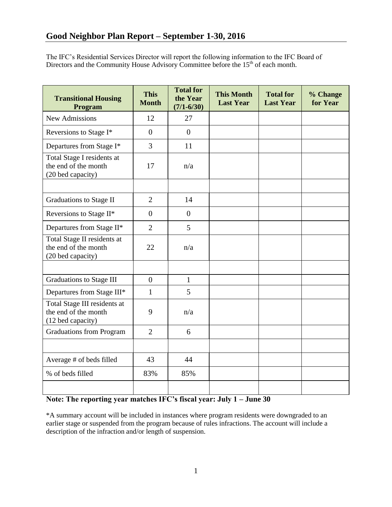The IFC's Residential Services Director will report the following information to the IFC Board of Directors and the Community House Advisory Committee before the  $15<sup>th</sup>$  of each month.

| <b>Transitional Housing</b><br>Program                                    | <b>This</b><br><b>Month</b> | <b>Total for</b><br>the Year<br>$(7/1 - 6/30)$ | <b>This Month</b><br><b>Last Year</b> | <b>Total for</b><br><b>Last Year</b> | % Change<br>for Year |
|---------------------------------------------------------------------------|-----------------------------|------------------------------------------------|---------------------------------------|--------------------------------------|----------------------|
| <b>New Admissions</b>                                                     | 12                          | 27                                             |                                       |                                      |                      |
| Reversions to Stage I*                                                    | $\overline{0}$              | $\theta$                                       |                                       |                                      |                      |
| Departures from Stage I*                                                  | 3                           | 11                                             |                                       |                                      |                      |
| Total Stage I residents at<br>the end of the month<br>(20 bed capacity)   | 17                          | n/a                                            |                                       |                                      |                      |
|                                                                           |                             |                                                |                                       |                                      |                      |
| Graduations to Stage II                                                   | $\overline{2}$              | 14                                             |                                       |                                      |                      |
| Reversions to Stage II*                                                   | $\overline{0}$              | $\theta$                                       |                                       |                                      |                      |
| Departures from Stage II*                                                 | $\overline{2}$              | 5                                              |                                       |                                      |                      |
| Total Stage II residents at<br>the end of the month<br>(20 bed capacity)  | 22                          | n/a                                            |                                       |                                      |                      |
|                                                                           |                             |                                                |                                       |                                      |                      |
| Graduations to Stage III                                                  | $\overline{0}$              | $\mathbf{1}$                                   |                                       |                                      |                      |
| Departures from Stage III*                                                | $\mathbf{1}$                | 5                                              |                                       |                                      |                      |
| Total Stage III residents at<br>the end of the month<br>(12 bed capacity) | 9                           | n/a                                            |                                       |                                      |                      |
| <b>Graduations from Program</b>                                           | $\overline{2}$              | 6                                              |                                       |                                      |                      |
|                                                                           |                             |                                                |                                       |                                      |                      |
| Average # of beds filled                                                  | 43                          | 44                                             |                                       |                                      |                      |
| % of beds filled                                                          | 83%                         | 85%                                            |                                       |                                      |                      |
|                                                                           |                             |                                                |                                       |                                      |                      |

## **Note: The reporting year matches IFC's fiscal year: July 1 – June 30**

\*A summary account will be included in instances where program residents were downgraded to an earlier stage or suspended from the program because of rules infractions. The account will include a description of the infraction and/or length of suspension.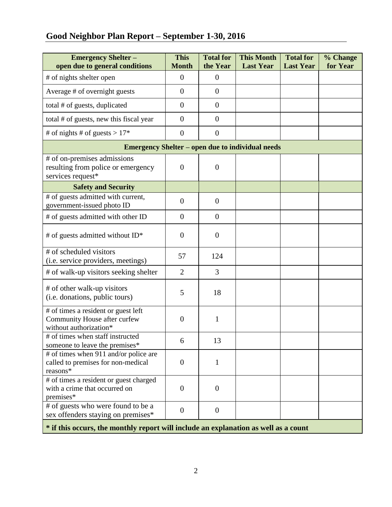# **Good Neighbor Plan Report – September 1-30, 2016**

| <b>Emergency Shelter -</b><br>open due to general conditions                                  | <b>This</b><br><b>Month</b> | <b>Total for</b><br>the Year | <b>This Month</b><br><b>Last Year</b> | <b>Total for</b><br><b>Last Year</b> | % Change<br>for Year |  |  |  |
|-----------------------------------------------------------------------------------------------|-----------------------------|------------------------------|---------------------------------------|--------------------------------------|----------------------|--|--|--|
| # of nights shelter open                                                                      | $\overline{0}$              | $\overline{0}$               |                                       |                                      |                      |  |  |  |
| Average # of overnight guests                                                                 | $\overline{0}$              | $\theta$                     |                                       |                                      |                      |  |  |  |
| total # of guests, duplicated                                                                 | $\overline{0}$              | $\overline{0}$               |                                       |                                      |                      |  |  |  |
| total # of guests, new this fiscal year                                                       | $\overline{0}$              | $\overline{0}$               |                                       |                                      |                      |  |  |  |
| # of nights # of guests > $17*$                                                               | $\theta$                    | $\overline{0}$               |                                       |                                      |                      |  |  |  |
| <b>Emergency Shelter – open due to individual needs</b>                                       |                             |                              |                                       |                                      |                      |  |  |  |
| # of on-premises admissions<br>resulting from police or emergency<br>services request*        | $\boldsymbol{0}$            | $\overline{0}$               |                                       |                                      |                      |  |  |  |
| <b>Safety and Security</b>                                                                    |                             |                              |                                       |                                      |                      |  |  |  |
| # of guests admitted with current,<br>government-issued photo ID                              | $\overline{0}$              | $\overline{0}$               |                                       |                                      |                      |  |  |  |
| # of guests admitted with other ID                                                            | $\overline{0}$              | $\overline{0}$               |                                       |                                      |                      |  |  |  |
| # of guests admitted without $ID^*$                                                           | $\boldsymbol{0}$            | $\overline{0}$               |                                       |                                      |                      |  |  |  |
| # of scheduled visitors<br>(i.e. service providers, meetings)                                 | 57                          | 124                          |                                       |                                      |                      |  |  |  |
| # of walk-up visitors seeking shelter                                                         | $\overline{2}$              | 3                            |                                       |                                      |                      |  |  |  |
| # of other walk-up visitors<br>(i.e. donations, public tours)                                 | 5                           | 18                           |                                       |                                      |                      |  |  |  |
| # of times a resident or guest left<br>Community House after curfew<br>without authorization* | $\boldsymbol{0}$            | $\mathbf{1}$                 |                                       |                                      |                      |  |  |  |
| # of times when staff instructed<br>someone to leave the premises*                            | 6                           | 13                           |                                       |                                      |                      |  |  |  |
| # of times when 911 and/or police are<br>called to premises for non-medical<br>reasons*       | $\mathbf{0}$                | 1                            |                                       |                                      |                      |  |  |  |
| # of times a resident or guest charged<br>with a crime that occurred on<br>premises*          | $\overline{0}$              | $\overline{0}$               |                                       |                                      |                      |  |  |  |
| # of guests who were found to be a<br>sex offenders staying on premises*                      | $\overline{0}$              | $\overline{0}$               |                                       |                                      |                      |  |  |  |
| * if this occurs, the monthly report will include an explanation as well as a count           |                             |                              |                                       |                                      |                      |  |  |  |